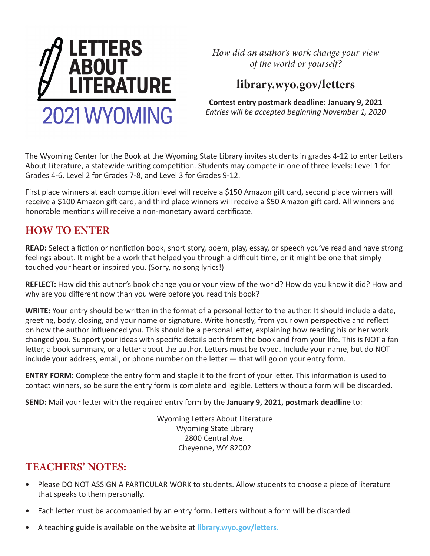

*How did an author's work change your view of the world or yourself?*

# **library.wyo.gov/letters**

**Contest entry postmark deadline: January 9, 2021** *Entries will be accepted beginning November 1, 2020*

The Wyoming Center for the Book at the Wyoming State Library invites students in grades 4-12 to enter Letters About Literature, a statewide writing competition. Students may compete in one of three levels: Level 1 for Grades 4-6, Level 2 for Grades 7-8, and Level 3 for Grades 9-12.

First place winners at each competition level will receive a \$150 Amazon gift card, second place winners will receive a \$100 Amazon gift card, and third place winners will receive a \$50 Amazon gift card. All winners and honorable mentions will receive a non-monetary award certificate.

#### **HOW TO ENTER**

**READ:** Select a fiction or nonfiction book, short story, poem, play, essay, or speech you've read and have strong feelings about. It might be a work that helped you through a difficult time, or it might be one that simply touched your heart or inspired you. (Sorry, no song lyrics!)

**REFLECT:** How did this author's book change you or your view of the world? How do you know it did? How and why are you different now than you were before you read this book?

**WRITE:** Your entry should be written in the format of a personal letter to the author. It should include a date, greeting, body, closing, and your name or signature. Write honestly, from your own perspective and reflect on how the author influenced you. This should be a personal letter, explaining how reading his or her work changed you. Support your ideas with specific details both from the book and from your life. This is NOT a fan letter, a book summary, or a letter about the author. Letters must be typed. Include your name, but do NOT include your address, email, or phone number on the letter — that will go on your entry form.

**ENTRY FORM:** Complete the entry form and staple it to the front of your letter. This information is used to contact winners, so be sure the entry form is complete and legible. Letters without a form will be discarded.

**SEND:** Mail your letter with the required entry form by the **January 9, 2021, postmark deadline** to:

Wyoming Letters About Literature Wyoming State Library 2800 Central Ave. Cheyenne, WY 82002

## **TEACHERS' NOTES:**

- Please DO NOT ASSIGN A PARTICULAR WORK to students. Allow students to choose a piece of literature that speaks to them personally.
- Each letter must be accompanied by an entry form. Letters without a form will be discarded.
- A teaching guide is available on the website at **[library.wyo.gov/letters](http://library.wyo.gov/services/literacy/letters-about-literature/)**.